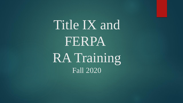Title IX and FERPA RA Training Fall 2020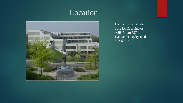# Location



Hannah Satram-Hale Title IX Coordinator ASB Room 537 Hannah.hale@kysu.edu 502-597-6138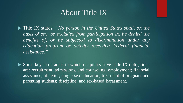### About Title IX

 Title IX states, *"No person in the United States shall, on the basis of sex, be excluded from participation in, be denied the benefits of, or be subjected to discrimination under any education program or activity receiving Federal financial assistance."*

 $\triangleright$  Some key issue areas in which recipients have Title IX obligations are: recruitment, admissions, and counseling; employment; financial assistance; athletics; single-sex education; treatment of pregnant and parenting students; discipline; and sex-based harassment.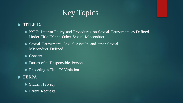# Key Topics

#### TITLE IX

- KSU's Interim Policy and Procedures on Sexual Harassment as Defined Under Title IX and Other Sexual Misconduct
- Sexual Harassment, Sexual Assault, and other Sexual Misconduct Defined

Consent

- Duties of a "Responsible Person"
- Reporting a Title IX Violation
- **FERPA** 
	- Student Privacy
	- **Parent Requests**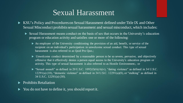### Sexual Harassment

- KSU's Policy and Procedures on Sexual Harassment defined under Title IX and Other Sexual Misconduct prohibits sexual harassment and sexual misconduct, which includes:
	- Sexual Harassment means conduct on the basis of sex that occurs in the University's education program or education activity and satisfies one or more of the following:
		- An employee of the University conditioning the provision of an aid, benefit, or service of the recipient on an individual's participation in unwelcome sexual conduct. This type of sexual harassment is also referred to as Quid Pro Quo.;
		- Unwelcome conduct determined by a reasonable person to be so severe, pervasive, and objectively offensive that it effectively denies a person equal access to the University's education program or activity. This type of sexual harassment is also referred to as Hostile Environment.; or
		- Sexual assault" as defined in 20 U.S.C.  $1092(f)(6)(A)(v)$ , "dating violence" as defined in 34 U.S.C.  $12291(a)(10)$ , "domestic violence" as defined in 34 U.S.C.  $12291(a)(8)$ , or "stalking" as defined in 34 U.S.C. 12291(a) (30).
- Prohibits Retaliation
- You do not have to define it, you should report it.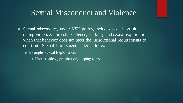### Sexual Misconduct and Violence

- Sexual misconduct, under KSU policy, includes sexual assault, dating violence, domestic violence, stalking, and sexual exploitation when that behavior does not meet the jurisdictional requirements to constitute Sexual Harassment under Title IX.
	- Example Sexual Exploitation:
		- ▶ Photos, videos, prostitution, peeping-toms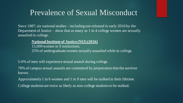### Prevalence of Sexual Misconduct

Since 1987, six national studies – including one released in early 2016 by the Department of Justice – show that as many as  $1 \text{ in } 4$  college women are sexually assaulted in college.

#### **National Institute of Justice (NIJ) (2016)**

15,000 women in 9 institutions. 25% of undergraduate women sexually assaulted while in college.

5-6% of men will experience sexual assault during college.

78% of campus sexual assaults are committed by perpetrators that the survivor knows.

Approximately 1 in 6 women and 1 in 9 men will be stalked in their lifetime.

College students are twice as likely as non-college students to be stalked.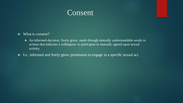

#### What is consent?

- An informed-decision, freely given, made through mutually understandable words or actions that indicates a willingness to participate in mutually agreed upon sexual activity.
- I.e., informed and freely given permission to engage in a specific sexual act.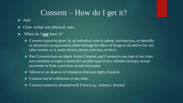## Consent – How do I get it?

 $\blacktriangleright$  Ask!

- Clear verbal and physical cues.
- When do I **not** have it?
	- Consent cannot be given by an individual who is asleep, unconscious, or mentally or physically incapacitated, either through the effect of drugs or alcohol or for any other reason, or is under duress, threat, coercion, or force.
	- ▶ Past Consent does not imply future Consent, and Consent to one type of sex does not constitute or imply consent for another type of sex, whether during a sexual encounter or from a previous sexual encounter.
	- Silence or an absence of resistance does not imply Consent.
	- Consent can be withdrawn at any time.
	- Consent cannot be obtained with Force (e.g., violence, threats)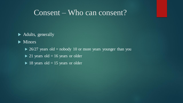### Consent – Who can consent?

#### ▶ Adults, generally

 $\blacktriangleright$  Minors

- $\triangleright$  26/27 years old = nobody 10 or more years younger than you
- $\triangleright$  21 years old = 16 years or older
- $\blacktriangleright$  18 years old = 15 years or older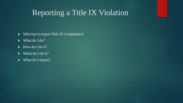# Reporting a Title IX Violation

- Who has to report Title IX Complaints?
- What do I do?
- $\blacktriangleright$  How do I do it?
- $\blacktriangleright$  When do I do it?
- ▶ What do I report?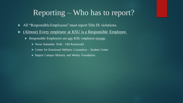## Reporting – Who has to report?

- All "Responsible Employees" must report Title IX violations.
- (Almost) Every employee at KSU is a Responsible Employee.
	- Responsible Employees are <u>any</u> KSU employee except:
		- Nurse Samantha Todd Old Rosenwald
		- ▶ Center for Emotional Wellness Counselors Student Center
		- ▶ Baptist Campus Ministry and Wesley Foundation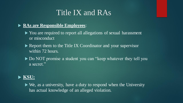# Title IX and RAs

#### **RAs are Responsible Employees**:

- ▶ You are required to report all allegations of sexual harassment or misconduct
- Report them to the Title IX Coordinator and your supervisor within 72 hours.
- ▶ Do NOT promise a student you can "keep whatever they tell you a secret."

#### **KSU:**

 We, as a university, have a duty to respond when the University has actual knowledge of an alleged violation.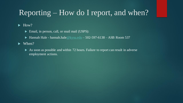# Reporting – How do I report, and when?

#### $\blacktriangleright$  How?

- Email, in person, call, or snail mail (USPS):
- $\blacktriangleright$  Hannah Hale hannah.hale  $@kysu.edu 502-597-6138 ASB$  $@kysu.edu 502-597-6138 ASB$  Room 537

 $\blacktriangleright$  When?

As soon as possible and within 72 hours. Failure to report can result in adverse employment actions.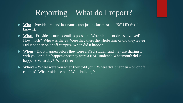# Reporting – What do I report?

- ► Who-Provide first and last names (not just nicknames) and KSU ID #s (if known).
- ► What Provide as much detail as possible. Were alcohol or drugs involved? How much? Who was there? Were they there the whole time or did they leave? Did it happen on or off campus? When did it happen?
- ► When Did it happen before they were a KSU student and they are sharing it with you, or did it happen once they were a KSU student? What month did it happen? What day? What time?
- ► Where Where were you when they told you? Where did it happen on or off campus? What residence hall? What building?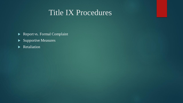## Title IX Procedures

- Report vs. Formal Complaint
- Supportive Measures
- **Retaliation**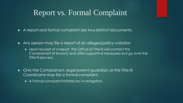## Report vs. Formal Complaint

A report and formal complaint are two distinct documents.

 $\blacktriangleright$  Any person may file a report of an alleged policy violation

**Department Only 10 Ferry Contact Contact Contact the Vielers** Upon reciept of a report, the Office of Title IX will contact the Complainant (if known) and offer supportive measures and go over the Title IX process.

▶ Only the Complainant, legal parent/guardian, or the Title IX Coordinator may file a formal complaint.

A formal complaint initiates an investigation.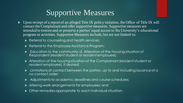# Supportive Measures

- $\triangleright$  Upon reciept of a report of an alleged Title IX policy violation, the Office of Title IX will contact the Complainant and offer supportive measures. Supportive measures are intended to restore and or preserve a parties' equal access to the University's educational program or activities. Supportive Measures include, but are not limited to:
	- Referral to counseling and health services;
	- Referral to the Employee Assistance Program;
	- Education to the community; d. Alteration of the housing situation of Respondent (resident student or resident employee);
	- Alteration of the housing situation of the Complainant (resident student or resident employee), if desired;
	- Limitations of contact between the parties, up to and including issuance of a no contact order;
	- Adjustments to academic deadlines and course schedules;
	- Altering work arrangements for employees; and
	- Other remedies appropriate to each individual situation.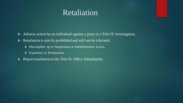### Retaliation

Adverse action by an individual against a party to a Title IX investigation.

Retaliation is strictly prohibited and will not be tolerated.

- Discimpline up to Suspension or Administrative Leave,
- Expulsion or Termination.
- $\blacktriangleright$  Report retaliation to the Title IX Office immediately.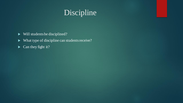# Discipline

- Will students be disciplined?
- What type of discipline can students receive?
- $\blacktriangleright$  Can they fight it?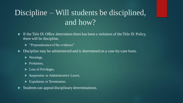# Discipline – Will students be disciplined, and how?

- $\blacktriangleright$  If the Title IX Office determines there has been a violation of the Title IX Policy, there will be discipline.
	- ▶ "Preponderance of the evidence"
- Discipline may be administered and is determined on a case-by-case basis.
	- ▶ Warnings,
	- **Probation,**
	- ► Loss of Privileges,
	- Suspension or Administrative Leave,
	- Expulsions or Termination.
- Students can appeal disciplinary determinations.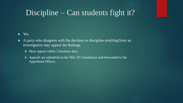# Discipline – Can students fight it?

#### ranksquare Yes.

- $\blacktriangleright$  A party who disagrees with the decision or discipline resulting from an investigation may appeal the findings.
	- $\blacktriangleright$  Must appeal within 2 business days.
	- Appeals are submitted to the Title IX Coordinator and forwraded to the Appellated Officer.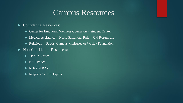# Campus Resources

#### $\blacktriangleright$  Confidential Resources:

- ▶ Center for Emotional Wellness Counselors– Student Center
- ▶ Medical Assistance Nurse Samantha Todd Old Rosenwald
- ▶ Religious Baptist Campus Ministries or Wesley Foundation

#### Non-Confidential Resources:

- $\blacktriangleright$  Title IX Office
- KSU Police
- $\blacktriangleright$  RDs and RAs
- Responsible Employees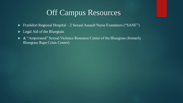# Off Campus Resources

- ► Frankfort Regional Hospital 2 Sexual Assault Nurse Examiners ("SANE")
- **Legal Aid of the Bluegrass**
- $\triangleright$  & "Ampersand" Sexual Violence Resource Center of the Bluegrass (formerly Bluegrass Rape Crisis Center)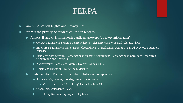### FERPA

- Family Education Rights and Privacy Act
- Protects the privacy of student education records.
	- Almost all student information is confidential except "directory information":
		- ▶ Contact information: Student's Name, Address, Telephone Number, E-mail Address, Photo
		- ▶ Enrollment information: Major, Dates of Attendance, Classification, Degree(s) Earned, Previous Institutions Attended
		- Extra curricular activities: Participation in Student Organizations, Participation in University Recognized Organization and Activities
		- Achievements: Honors and Awards, Dean's/President's List
		- ▶ Weight and Height of Athletic Team Member
	- Confidential and Personally Identifiable Information is protected:
		- Social security number, birthday, financial information.
			- Can it be used to steal their identity? It's confidential or PII.
		- Grades, class attendance, GPA.
		- Disciplinary Records, ongoing investigations.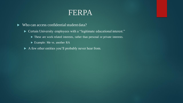## FERPA

#### Who can access confidential student data?

- Certain University employees with a "legitimate educational interest."
	- These are work related interests, rather than personal or private interests.
	- Example: Me vs. another RA
- A few other entities you'll probably never hear from.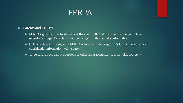

#### **Parents and FERPA**

- ERPA rights transfer to students at the age of 18 or at the time they begin college, regardless of age. Parents do not have a right to their child's information.
- Unless a student has signed a FERPA waiver with the Registrar's Office, do not share confidential information with a parent.
- $\blacktriangleright$  To be safe, direct parent questions to other areas (Registrar, Bursar, Title IX, etc.).